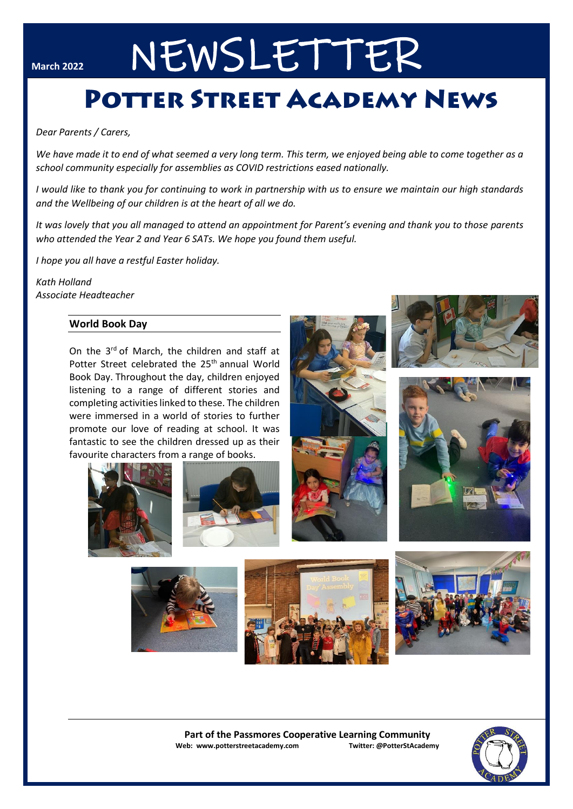# March 2022 NEWSLETTER

# **POTTER STREET ACADEMY NEWS**

## *Dear Parents / Carers,*

*We have made it to end of what seemed a very long term. This term, we enjoyed being able to come together as a school community especially for assemblies as COVID restrictions eased nationally.*

*I would like to thank you for continuing to work in partnership with us to ensure we maintain our high standards and the Wellbeing of our children is at the heart of all we do.*

*It was lovely that you all managed to attend an appointment for Parent's evening and thank you to those parents who attended the Year 2 and Year 6 SATs. We hope you found them useful.*

*I hope you all have a restful Easter holiday.*

*Kath Holland Associate Headteacher*

# **World Book Day**

On the 3<sup>rd</sup> of March, the children and staff at Potter Street celebrated the 25<sup>th</sup> annual World Book Day. Throughout the day, children enjoyed listening to a range of different stories and completing activities linked to these. The children were immersed in a world of stories to further promote our love of reading at school. It was fantastic to see the children dressed up as their favourite characters from a range of books.













**Part of the Passmores Cooperative Learning Community Web: www.potterstreetacademy.com Twitter: @PotterStAcademy**

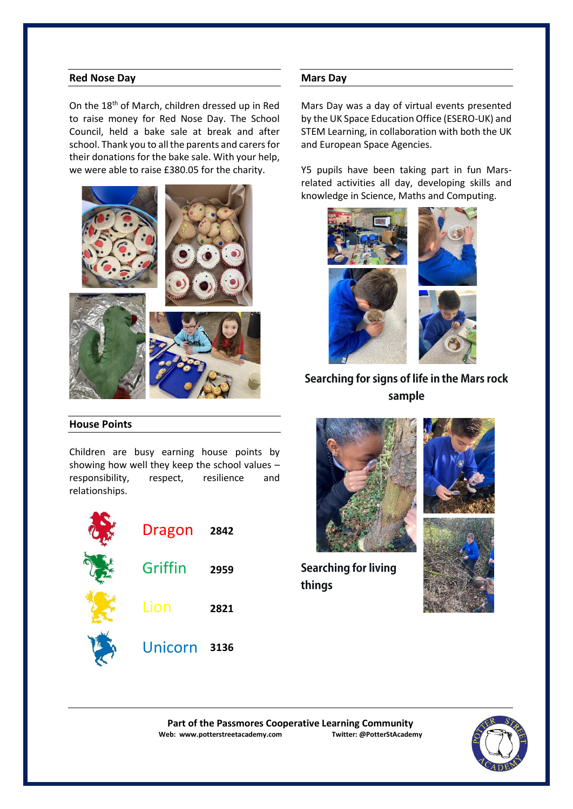# **Red Nose Day**

On the 18th of March, children dressed up in Red to raise money for Red Nose Day. The School Council, held a bake sale at break and after school. Thank you to all the parents and carers for their donations for the bake sale. With your help, we were able to raise £380.05 for the charity.



# **House Points**

Children are busy earning house points by showing how well they keep the school values – responsibility, respect, resilience and relationships.



## **Mars Day**

Mars Day was a day of virtual events presented by the UK Space Education Office (ESERO-UK) and STEM Learning, in collaboration with both the UK and European Space Agencies.

Y5 pupils have been taking part in fun Marsrelated activities all day, developing skills and knowledge in Science, Maths and Computing.



# Searching for signs of life in the Mars rock sample



**Searching for living** things





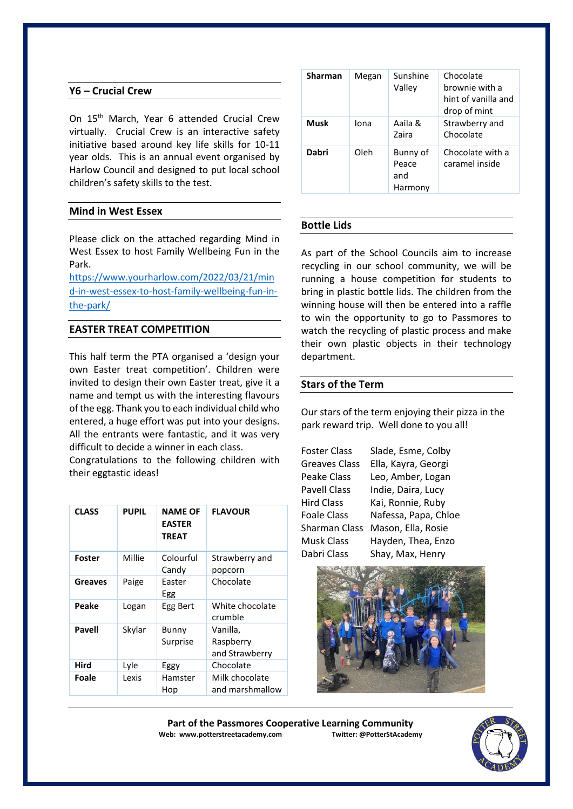# **Y6 – Crucial Crew**

On 15<sup>th</sup> March, Year 6 attended Crucial Crew virtually. Crucial Crew is an interactive safety initiative based around key life skills for 10-11 year olds. This is an annual event organised by Harlow Council and designed to put local school children's safety skills to the test.

# **Mind in West Essex**

Please click on the attached regarding Mind in West Essex to host Family Wellbeing Fun in the Park.

[https://www.yourharlow.com/2022/03/21/min](about:blank) [d-in-west-essex-to-host-family-wellbeing-fun-in](about:blank)[the-park/](about:blank)

# **EASTER TREAT COMPETITION**

This half term the PTA organised a 'design your own Easter treat competition'. Children were invited to design their own Easter treat, give it a name and tempt us with the interesting flavours of the egg. Thank you to each individual child who entered, a huge effort was put into your designs. All the entrants were fantastic, and it was very difficult to decide a winner in each class.

Congratulations to the following children with their eggtastic ideas!

| <b>CLASS</b>  | <b>PUPIL</b> | NAME OF<br><b>EASTER</b><br><b>TREAT</b> | <b>FLAVOUR</b>                          |
|---------------|--------------|------------------------------------------|-----------------------------------------|
| <b>Foster</b> | Millie       | Colourful<br>Candy                       | Strawberry and<br>popcorn               |
| Greaves       | Paige        | Faster<br>Egg                            | Chocolate                               |
| Peake         | Logan        | Egg Bert                                 | White chocolate<br>crumble              |
| Pavell        | Skylar       | Bunny<br>Surprise                        | Vanilla,<br>Raspberry<br>and Strawberry |
| Hird          | Lyle         | Eggy                                     | Chocolate                               |
| Foale         | Lexis        | Hamster<br>Hop                           | Milk chocolate<br>and marshmallow       |

| <b>Sharman</b> | Megan | Sunshine<br>Valley                  | Chocolate<br>brownie with a<br>hint of vanilla and<br>drop of mint |
|----------------|-------|-------------------------------------|--------------------------------------------------------------------|
| <b>Musk</b>    | Iona  | Aaila &<br><b>Zaira</b>             | Strawberry and<br>Chocolate                                        |
| Dabri          | Oleh  | Bunny of<br>Peace<br>and<br>Harmony | Chocolate with a<br>caramel inside                                 |

# **Bottle Lids**

As part of the School Councils aim to increase recycling in our school community, we will be running a house competition for students to bring in plastic bottle lids. The children from the winning house will then be entered into a raffle to win the opportunity to go to Passmores to watch the recycling of plastic process and make their own plastic objects in their technology department.

# **Stars of the Term**

Our stars of the term enjoying their pizza in the park reward trip. Well done to you all!

| <b>Foster Class</b>  | Slade, Esme, Colby   |  |  |
|----------------------|----------------------|--|--|
| <b>Greaves Class</b> | Ella, Kayra, Georgi  |  |  |
| Peake Class          | Leo, Amber, Logan    |  |  |
| <b>Pavell Class</b>  | Indie, Daira, Lucy   |  |  |
| Hird Class           | Kai, Ronnie, Ruby    |  |  |
| <b>Foale Class</b>   | Nafessa, Papa, Chloe |  |  |
| <b>Sharman Class</b> | Mason, Ella, Rosie   |  |  |
| <b>Musk Class</b>    | Hayden, Thea, Enzo   |  |  |
| Dabri Class          | Shay, Max, Henry     |  |  |